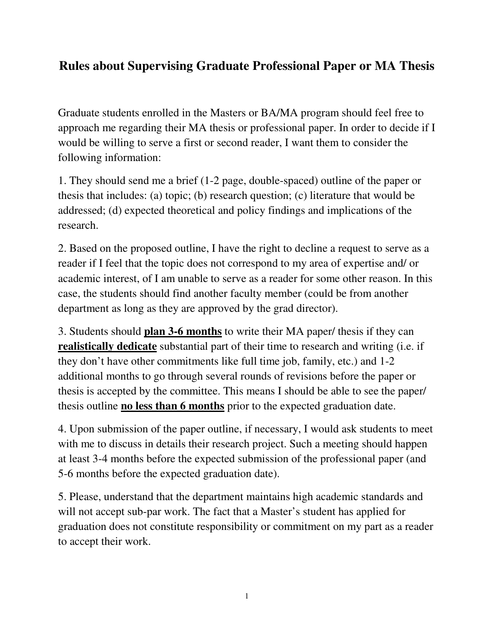## **Rules about Supervising Graduate Professional Paper or MA Thesis**

Graduate students enrolled in the Masters or BA/MA program should feel free to approach me regarding their MA thesis or professional paper. In order to decide if I would be willing to serve a first or second reader, I want them to consider the following information:

1. They should send me a brief (1-2 page, double-spaced) outline of the paper or thesis that includes: (a) topic; (b) research question; (c) literature that would be addressed; (d) expected theoretical and policy findings and implications of the research.

2. Based on the proposed outline, I have the right to decline a request to serve as a reader if I feel that the topic does not correspond to my area of expertise and/ or academic interest, of I am unable to serve as a reader for some other reason. In this case, the students should find another faculty member (could be from another department as long as they are approved by the grad director).

3. Students should **plan 3-6 months** to write their MA paper/ thesis if they can **realistically dedicate** substantial part of their time to research and writing (i.e. if they don't have other commitments like full time job, family, etc.) and 1-2 additional months to go through several rounds of revisions before the paper or thesis is accepted by the committee. This means I should be able to see the paper/ thesis outline **no less than 6 months** prior to the expected graduation date.

4. Upon submission of the paper outline, if necessary, I would ask students to meet with me to discuss in details their research project. Such a meeting should happen at least 3-4 months before the expected submission of the professional paper (and 5-6 months before the expected graduation date).

5. Please, understand that the department maintains high academic standards and will not accept sub-par work. The fact that a Master's student has applied for graduation does not constitute responsibility or commitment on my part as a reader to accept their work.